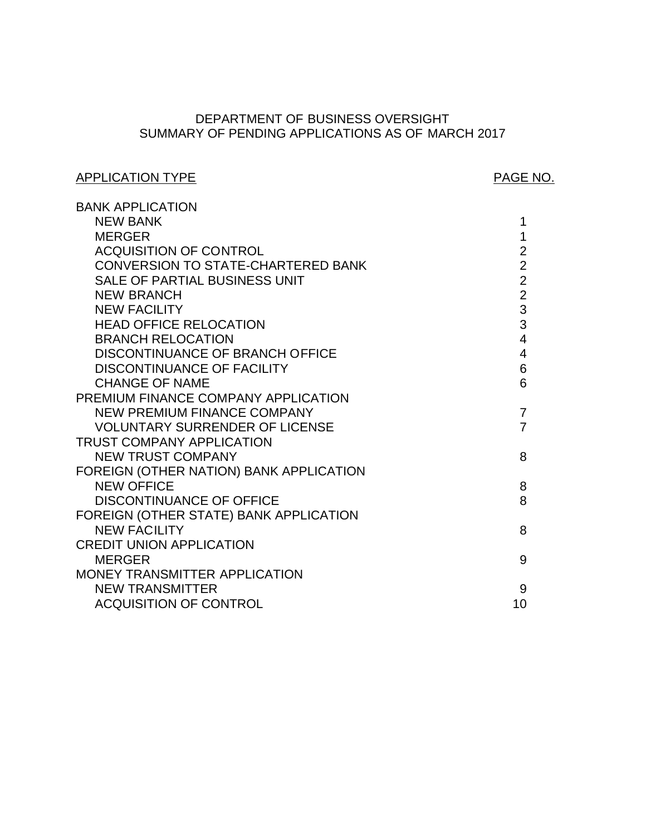# SUMMARY OF PENDING APPLICATIONS AS OF MARCH 2017 DEPARTMENT OF BUSINESS OVERSIGHT

# APPLICATION TYPE APPLICATION TYPE

| <b>BANK APPLICATION</b>                 |                |
|-----------------------------------------|----------------|
| <b>NEW BANK</b>                         | 1              |
| <b>MERGER</b>                           | 1              |
| <b>ACQUISITION OF CONTROL</b>           | $\overline{2}$ |
| CONVERSION TO STATE-CHARTERED BANK      | $\overline{2}$ |
| SALE OF PARTIAL BUSINESS UNIT           | $\overline{2}$ |
| <b>NEW BRANCH</b>                       | $\overline{2}$ |
| <b>NEW FACILITY</b>                     | 3              |
| <b>HEAD OFFICE RELOCATION</b>           | 3              |
| <b>BRANCH RELOCATION</b>                | $\overline{4}$ |
| DISCONTINUANCE OF BRANCH OFFICE         | $\overline{4}$ |
| DISCONTINUANCE OF FACILITY              | 6              |
| <b>CHANGE OF NAME</b>                   | 6              |
| PREMIUM FINANCE COMPANY APPLICATION     |                |
| <b>NEW PREMIUM FINANCE COMPANY</b>      | $\overline{7}$ |
| <b>VOLUNTARY SURRENDER OF LICENSE</b>   | $\overline{7}$ |
| <b>TRUST COMPANY APPLICATION</b>        |                |
| <b>NEW TRUST COMPANY</b>                | 8              |
| FOREIGN (OTHER NATION) BANK APPLICATION |                |
| <b>NEW OFFICE</b>                       | 8              |
| <b>DISCONTINUANCE OF OFFICE</b>         | 8              |
| FOREIGN (OTHER STATE) BANK APPLICATION  |                |
| <b>NEW FACILITY</b>                     | 8              |
| <b>CREDIT UNION APPLICATION</b>         |                |
| <b>MERGER</b>                           | 9              |
| MONEY TRANSMITTER APPLICATION           |                |
| <b>NEW TRANSMITTER</b>                  | 9              |
| <b>ACQUISITION OF CONTROL</b>           | 10             |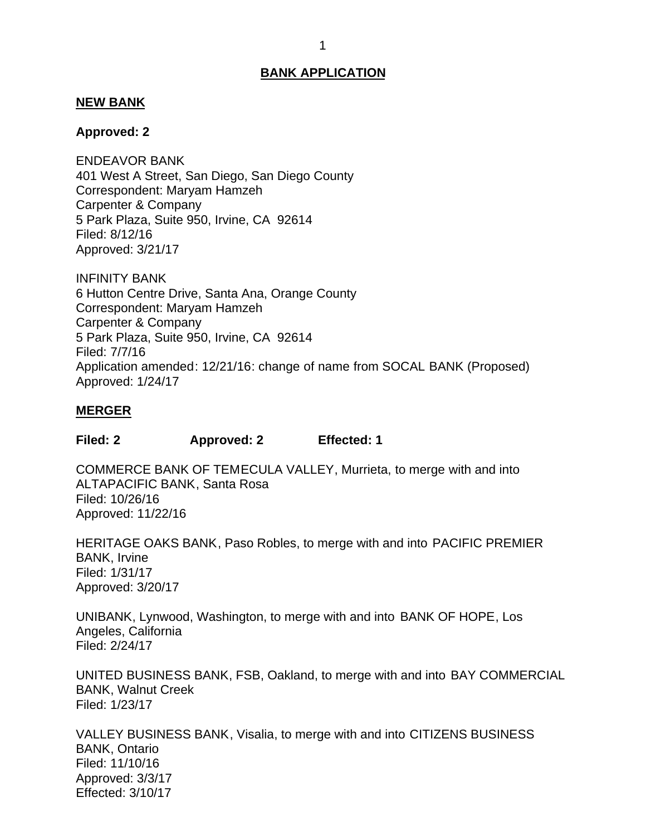## <span id="page-1-0"></span>**NEW BANK**

## **Approved: 2**

 401 West A Street, San Diego, San Diego County Correspondent: Maryam Hamzeh Carpenter & Company 5 Park Plaza, Suite 950, Irvine, CA 92614 ENDEAVOR BANK Filed: 8/12/16 Approved: 3/21/17

 6 Hutton Centre Drive, Santa Ana, Orange County Correspondent: Maryam Hamzeh Carpenter & Company 5 Park Plaza, Suite 950, Irvine, CA 92614 INFINITY BANK Filed: 7/7/16 Application amended: 12/21/16: change of name from SOCAL BANK (Proposed) Approved: 1/24/17

## **MERGER**

**Filed: 2 Approved: 2 Effected: 1** 

 COMMERCE BANK OF TEMECULA VALLEY, Murrieta, to merge with and into ALTAPACIFIC BANK, Santa Rosa Filed: 10/26/16 Approved: 11/22/16

 HERITAGE OAKS BANK, Paso Robles, to merge with and into PACIFIC PREMIER BANK, Irvine Filed: 1/31/17 Approved: 3/20/17

 UNIBANK, Lynwood, Washington, to merge with and into BANK OF HOPE, Los Angeles, California Filed: 2/24/17

 UNITED BUSINESS BANK, FSB, Oakland, to merge with and into BAY COMMERCIAL BANK, Walnut Creek Filed: 1/23/17

 VALLEY BUSINESS BANK, Visalia, to merge with and into CITIZENS BUSINESS BANK, Ontario Filed: 11/10/16 Approved: 3/3/17 Effected: 3/10/17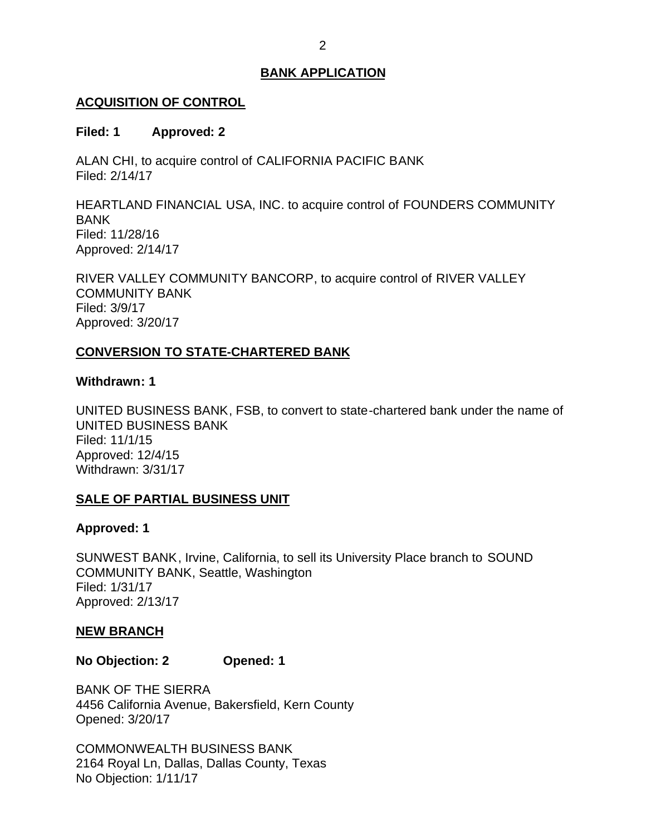# <span id="page-2-0"></span>**ACQUISITION OF CONTROL**

## **Filed: 1 Approved: 2**

 ALAN CHI, to acquire control of CALIFORNIA PACIFIC BANK Filed: 2/14/17

 HEARTLAND FINANCIAL USA, INC. to acquire control of FOUNDERS COMMUNITY BANK Filed: 11/28/16 Approved: 2/14/17

 RIVER VALLEY COMMUNITY BANCORP, to acquire control of RIVER VALLEY COMMUNITY BANK Filed: 3/9/17 Approved: 3/20/17

# **CONVERSION TO STATE-CHARTERED BANK**

## **Withdrawn: 1**

 UNITED BUSINESS BANK, FSB, to convert to state-chartered bank under the name of UNITED BUSINESS BANK Filed: 11/1/15 Approved: 12/4/15 Withdrawn: 3/31/17

# **SALE OF PARTIAL BUSINESS UNIT**

# **Approved: 1**

 SUNWEST BANK, Irvine, California, to sell its University Place branch to SOUND COMMUNITY BANK, Seattle, Washington Filed: 1/31/17 Approved: 2/13/17

# **NEW BRANCH**

**No Objection: 2 Opened: 1** 

 BANK OF THE SIERRA 4456 California Avenue, Bakersfield, Kern County Opened: 3/20/17

 2164 Royal Ln, Dallas, Dallas County, Texas No Objection: 1/11/17 COMMONWEALTH BUSINESS BANK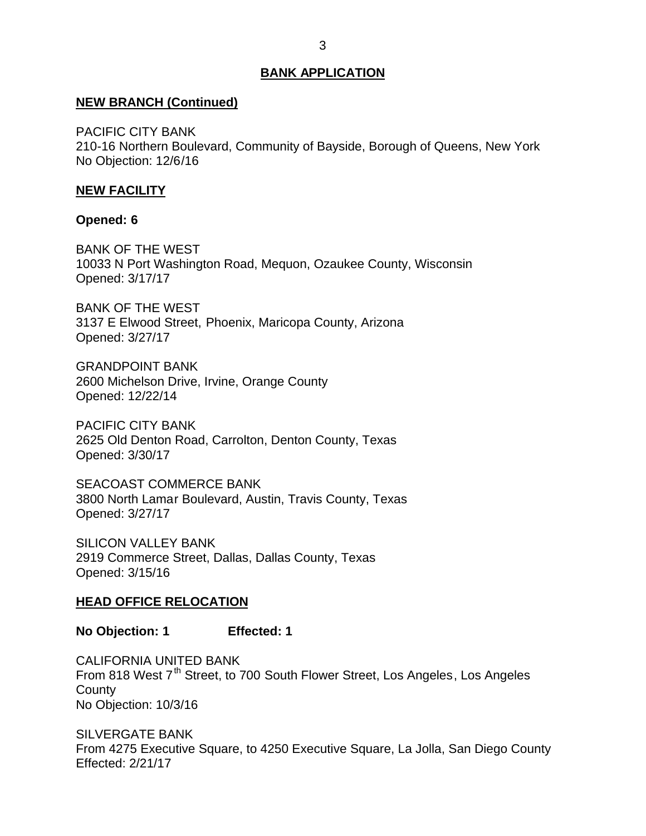# <span id="page-3-0"></span>**NEW BRANCH (Continued)**

 210-16 Northern Boulevard, Community of Bayside, Borough of Queens, New York No Objection: 12/6/16 PACIFIC CITY BANK

# **NEW FACILITY**

## **Opened: 6**

 BANK OF THE WEST 10033 N Port Washington Road, Mequon, Ozaukee County, Wisconsin Opened: 3/17/17

 BANK OF THE WEST 3137 E Elwood Street, Phoenix, Maricopa County, Arizona Opened: 3/27/17

 2600 Michelson Drive, Irvine, Orange County GRANDPOINT BANK Opened: 12/22/14

 2625 Old Denton Road, Carrolton, Denton County, Texas PACIFIC CITY BANK Opened: 3/30/17

 3800 North Lamar Boulevard, Austin, Travis County, Texas SEACOAST COMMERCE BANK Opened: 3/27/17

 2919 Commerce Street, Dallas, Dallas County, Texas SILICON VALLEY BANK Opened: 3/15/16

#### **HEAD OFFICE RELOCATION**

**No Objection: 1 Effected: 1** 

From 818 West 7<sup>th</sup> Street, to 700 South Flower Street, Los Angeles, Los Angeles No Objection: 10/3/16 CALIFORNIA UNITED BANK **County** 

 From 4275 Executive Square, to 4250 Executive Square, La Jolla, San Diego County SILVERGATE BANK Effected: 2/21/17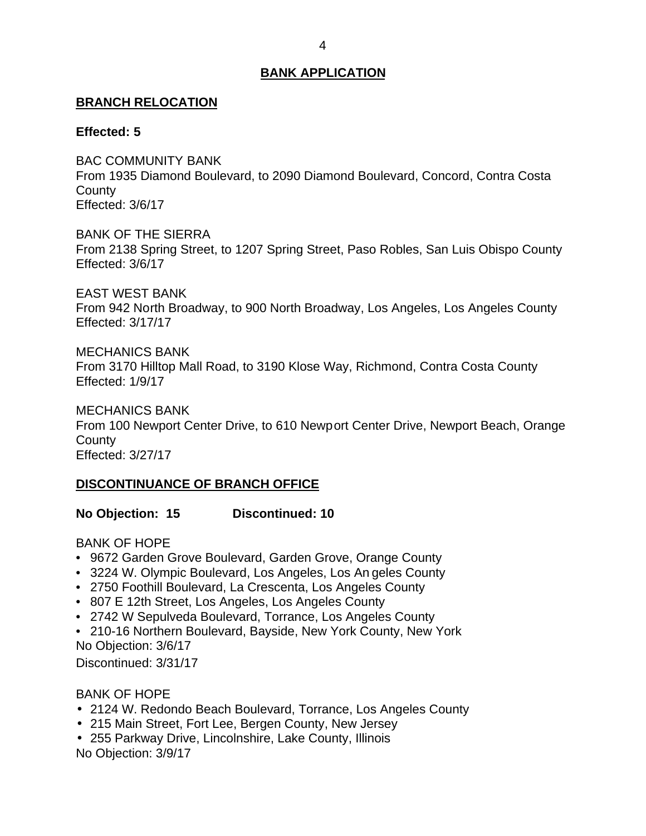# <span id="page-4-0"></span>**BRANCH RELOCATION**

# **Effected: 5**

 From 1935 Diamond Boulevard, to 2090 Diamond Boulevard, Concord, Contra Costa BAC COMMUNITY BANK **County** Effected: 3/6/17

 BANK OF THE SIERRA From 2138 Spring Street, to 1207 Spring Street, Paso Robles, San Luis Obispo County Effected: 3/6/17

 EAST WEST BANK From 942 North Broadway, to 900 North Broadway, Los Angeles, Los Angeles County Effected: 3/17/17

MECHANICS BANK

 From 3170 Hilltop Mall Road, to 3190 Klose Way, Richmond, Contra Costa County Effected: 1/9/17

 From 100 Newport Center Drive, to 610 Newport Center Drive, Newport Beach, Orange MECHANICS BANK **County** Effected: 3/27/17

# **DISCONTINUANCE OF BRANCH OFFICE**

**No Objection: 15 Discontinued: 10** 

BANK OF HOPE

- 9672 Garden Grove Boulevard, Garden Grove, Orange County
- 3224 W. Olympic Boulevard, Los Angeles, Los An geles County
- 2750 Foothill Boulevard, La Crescenta, Los Angeles County
- 807 E 12th Street, Los Angeles, Los Angeles County
- 2742 W Sepulveda Boulevard, Torrance, Los Angeles County
- • 210-16 Northern Boulevard, Bayside, New York County, New York No Objection: 3/6/17

Discontinued: 3/31/17

BANK OF HOPE

- 2124 W. Redondo Beach Boulevard, Torrance, Los Angeles County
- 215 Main Street, Fort Lee, Bergen County, New Jersey
- 255 Parkway Drive, Lincolnshire, Lake County, Illinois No Objection: 3/9/17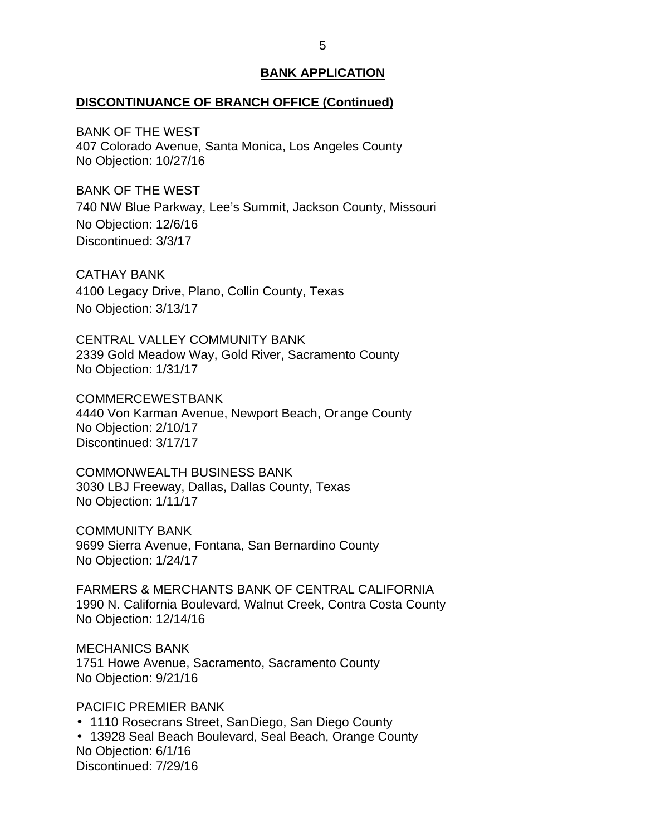#### **DISCONTINUANCE OF BRANCH OFFICE (Continued)**

 BANK OF THE WEST 407 Colorado Avenue, Santa Monica, Los Angeles County No Objection: 10/27/16

 BANK OF THE WEST 740 NW Blue Parkway, Lee's Summit, Jackson County, Missouri No Objection: 12/6/16 Discontinued: 3/3/17

 4100 Legacy Drive, Plano, Collin County, Texas No Objection: 3/13/17 CATHAY BANK

 CENTRAL VALLEY COMMUNITY BANK 2339 Gold Meadow Way, Gold River, Sacramento County No Objection: 1/31/17

 4440 Von Karman Avenue, Newport Beach, Or ange County No Objection: 2/10/17 COMMERCEWESTBANK Discontinued: 3/17/17

 3030 LBJ Freeway, Dallas, Dallas County, Texas No Objection: 1/11/17 COMMONWEALTH BUSINESS BANK

 9699 Sierra Avenue, Fontana, San Bernardino County No Objection: 1/24/17 COMMUNITY BANK

 FARMERS & MERCHANTS BANK OF CENTRAL CALIFORNIA 1990 N. California Boulevard, Walnut Creek, Contra Costa County No Objection: 12/14/16

 1751 Howe Avenue, Sacramento, Sacramento County No Objection: 9/21/16 MECHANICS BANK

PACIFIC PREMIER BANK

1110 Rosecrans Street, SanDiego, San Diego County

 13928 Seal Beach Boulevard, Seal Beach, Orange County No Objection: 6/1/16 Discontinued: 7/29/16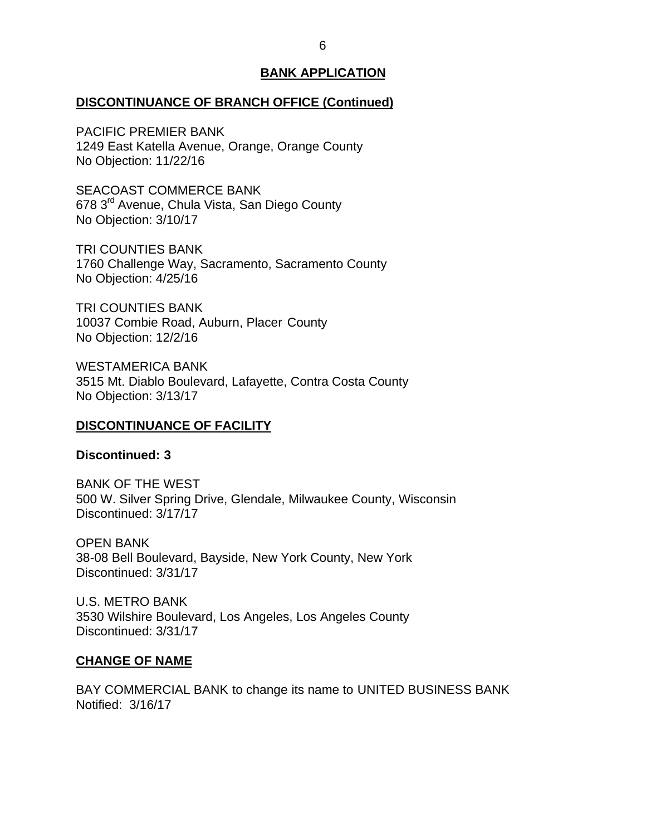# <span id="page-6-0"></span>**DISCONTINUANCE OF BRANCH OFFICE (Continued)**

 PACIFIC PREMIER BANK 1249 East Katella Avenue, Orange, Orange County No Objection: 11/22/16

678 3<sup>rd</sup> Avenue, Chula Vista, San Diego County No Objection: 3/10/17 SEACOAST COMMERCE BANK

 1760 Challenge Way, Sacramento, Sacramento County No Objection: 4/25/16 TRI COUNTIES BANK

 10037 Combie Road, Auburn, Placer County No Objection: 12/2/16 TRI COUNTIES BANK

 3515 Mt. Diablo Boulevard, Lafayette, Contra Costa County No Objection: 3/13/17 WESTAMERICA BANK

# **DISCONTINUANCE OF FACILITY**

## **Discontinued: 3**

 BANK OF THE WEST 500 W. Silver Spring Drive, Glendale, Milwaukee County, Wisconsin Discontinued: 3/17/17

 38-08 Bell Boulevard, Bayside, New York County, New York OPEN BANK Discontinued: 3/31/17

 U.S. METRO BANK 3530 Wilshire Boulevard, Los Angeles, Los Angeles County Discontinued: 3/31/17

#### **CHANGE OF NAME**

 Notified: 3/16/17 BAY COMMERCIAL BANK to change its name to UNITED BUSINESS BANK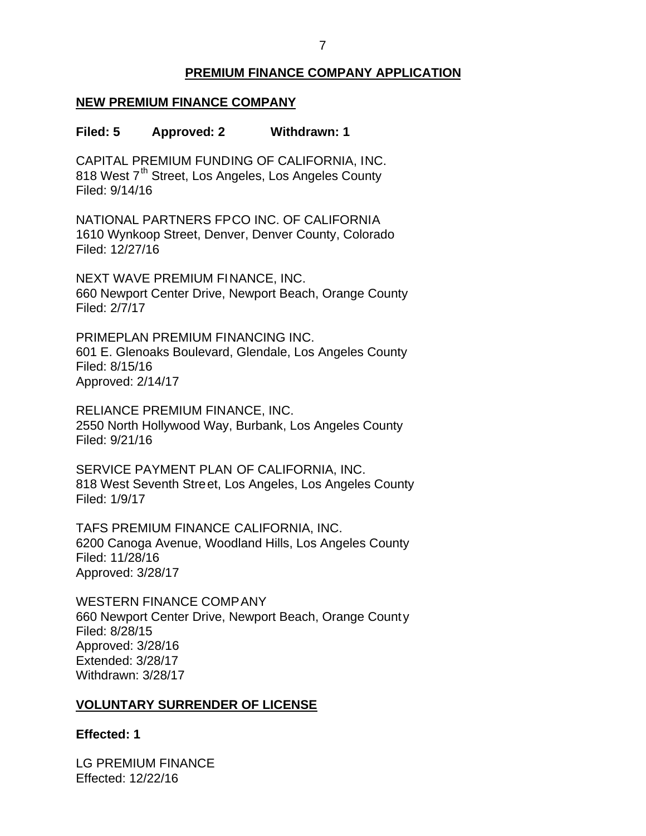# **PREMIUM FINANCE COMPANY APPLICATION**

# <span id="page-7-0"></span> **NEW PREMIUM FINANCE COMPANY**

### **Filed: 5 Approved: 2 Withdrawn: 1**

 CAPITAL PREMIUM FUNDING OF CALIFORNIA, INC. 818 West 7<sup>th</sup> Street, Los Angeles, Los Angeles County Filed: 9/14/16

 NATIONAL PARTNERS FPCO INC. OF CALIFORNIA 1610 Wynkoop Street, Denver, Denver County, Colorado Filed: 12/27/16

 NEXT WAVE PREMIUM FINANCE, INC. 660 Newport Center Drive, Newport Beach, Orange County Filed: 2/7/17

 601 E. Glenoaks Boulevard, Glendale, Los Angeles County PRIMEPLAN PREMIUM FINANCING INC. Filed: 8/15/16 Approved: 2/14/17

 RELIANCE PREMIUM FINANCE, INC. 2550 North Hollywood Way, Burbank, Los Angeles County Filed: 9/21/16

 SERVICE PAYMENT PLAN OF CALIFORNIA, INC. 818 West Seventh Street, Los Angeles, Los Angeles County Filed: 1/9/17

 TAFS PREMIUM FINANCE CALIFORNIA, INC. 6200 Canoga Avenue, Woodland Hills, Los Angeles County Filed: 11/28/16 Approved: 3/28/17

 660 Newport Center Drive, Newport Beach, Orange County WESTERN FINANCE COMPANY Filed: 8/28/15 Approved: 3/28/16 Extended: 3/28/17 Withdrawn: 3/28/17

# **VOLUNTARY SURRENDER OF LICENSE**

# **Effected: 1**

 LG PREMIUM FINANCE Effected: 12/22/16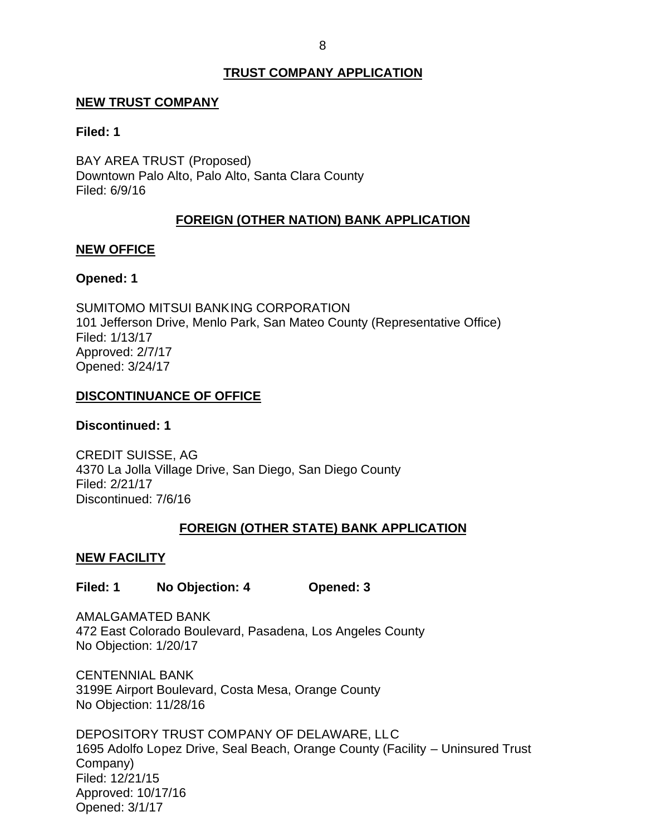# **TRUST COMPANY APPLICATION**

## <span id="page-8-0"></span>**NEW TRUST COMPANY**

### **Filed: 1**

 BAY AREA TRUST (Proposed) Downtown Palo Alto, Palo Alto, Santa Clara County Filed: 6/9/16

# **FOREIGN (OTHER NATION) BANK APPLICATION**

## **NEW OFFICE**

# **Opened: 1**

 SUMITOMO MITSUI BANKING CORPORATION 101 Jefferson Drive, Menlo Park, San Mateo County (Representative Office) Filed: 1/13/17 Approved: 2/7/17 Opened: 3/24/17

# **DISCONTINUANCE OF OFFICE**

# **Discontinued: 1**

 CREDIT SUISSE, AG 4370 La Jolla Village Drive, San Diego, San Diego County Filed: 2/21/17 Discontinued: 7/6/16

# **FOREIGN (OTHER STATE) BANK APPLICATION**

# **NEW FACILITY**

# **Filed: 1 No Objection: 4 Opened: 3**

 472 East Colorado Boulevard, Pasadena, Los Angeles County No Objection: 1/20/17 AMALGAMATED BANK

 3199E Airport Boulevard, Costa Mesa, Orange County No Objection: 11/28/16 CENTENNIAL BANK

 DEPOSITORY TRUST COMPANY OF DELAWARE, LLC 1695 Adolfo Lopez Drive, Seal Beach, Orange County (Facility – Uninsured Trust Company) Filed: 12/21/15 Approved: 10/17/16 Opened: 3/1/17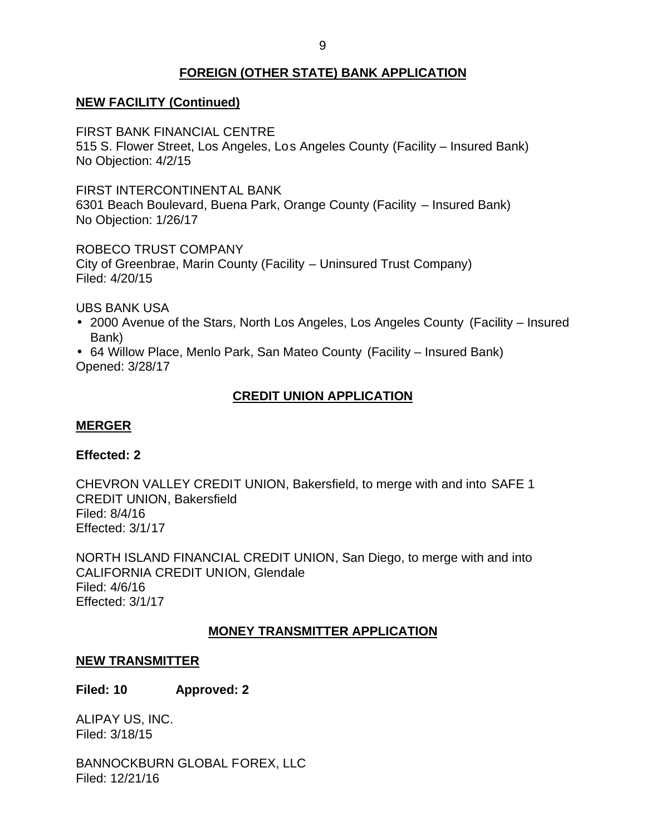# **FOREIGN (OTHER STATE) BANK APPLICATION**

# <span id="page-9-0"></span> **NEW FACILITY (Continued)**

FIRST BANK FINANCIAL CENTRE

 515 S. Flower Street, Los Angeles, Los Angeles County (Facility – Insured Bank) No Objection: 4/2/15

 6301 Beach Boulevard, Buena Park, Orange County (Facility – Insured Bank) No Objection: 1/26/17 FIRST INTERCONTINENTAL BANK

 ROBECO TRUST COMPANY City of Greenbrae, Marin County (Facility – Uninsured Trust Company) Filed: 4/20/15

UBS BANK USA

- 2000 Avenue of the Stars, North Los Angeles, Los Angeles County (Facility Insured Bank)
- 64 Willow Place, Menlo Park, San Mateo County (Facility Insured Bank) Opened: 3/28/17

# **CREDIT UNION APPLICATION**

# **MERGER**

# **Effected: 2**

 CHEVRON VALLEY CREDIT UNION, Bakersfield, to merge with and into SAFE 1 CREDIT UNION, Bakersfield Filed: 8/4/16 Effected: 3/1/17

 NORTH ISLAND FINANCIAL CREDIT UNION, San Diego, to merge with and into CALIFORNIA CREDIT UNION, Glendale Filed: 4/6/16 Effected: 3/1/17

# **MONEY TRANSMITTER APPLICATION**

# **NEW TRANSMITTER**

**Filed: 10 Approved: 2** 

 ALIPAY US, INC. Filed: 3/18/15

BANNOCKBURN GLOBAL FOREX, LLC Filed: 12/21/16